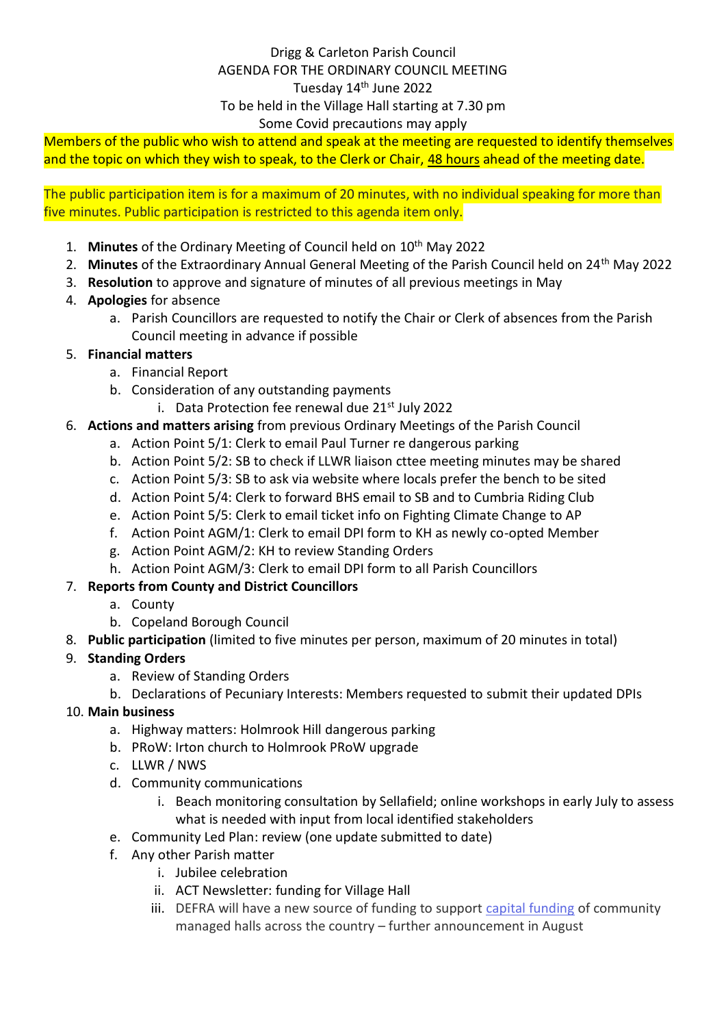## Drigg & Carleton Parish Council AGENDA FOR THE ORDINARY COUNCIL MEETING Tuesday 14<sup>th</sup> June 2022 To be held in the Village Hall starting at 7.30 pm Some Covid precautions may apply

Members of the public who wish to attend and speak at the meeting are requested to identify themselves and the topic on which they wish to speak, to the Clerk or Chair, 48 hours ahead of the meeting date.

The public participation item is for a maximum of 20 minutes, with no individual speaking for more than five minutes. Public participation is restricted to this agenda item only.

- 1. **Minutes** of the Ordinary Meeting of Council held on 10<sup>th</sup> May 2022
- 2. Minutes of the Extraordinary Annual General Meeting of the Parish Council held on 24<sup>th</sup> May 2022
- 3. **Resolution** to approve and signature of minutes of all previous meetings in May
- 4. **Apologies** for absence
	- a. Parish Councillors are requested to notify the Chair or Clerk of absences from the Parish Council meeting in advance if possible

### 5. **Financial matters**

- a. Financial Report
- b. Consideration of any outstanding payments
	- i. Data Protection fee renewal due  $21<sup>st</sup>$  July 2022
- 6. **Actions and matters arising** from previous Ordinary Meetings of the Parish Council
	- a. Action Point 5/1: Clerk to email Paul Turner re dangerous parking
	- b. Action Point 5/2: SB to check if LLWR liaison cttee meeting minutes may be shared
	- c. Action Point 5/3: SB to ask via website where locals prefer the bench to be sited
	- d. Action Point 5/4: Clerk to forward BHS email to SB and to Cumbria Riding Club
	- e. Action Point 5/5: Clerk to email ticket info on Fighting Climate Change to AP
	- f. Action Point AGM/1: Clerk to email DPI form to KH as newly co-opted Member
	- g. Action Point AGM/2: KH to review Standing Orders
	- h. Action Point AGM/3: Clerk to email DPI form to all Parish Councillors

# 7. **Reports from County and District Councillors**

- a. County
- b. Copeland Borough Council
- 8. **Public participation** (limited to five minutes per person, maximum of 20 minutes in total)

# 9. **Standing Orders**

- a. Review of Standing Orders
- b. Declarations of Pecuniary Interests: Members requested to submit their updated DPIs
- 10. **Main business**
	- a. Highway matters: Holmrook Hill dangerous parking
	- b. PRoW: Irton church to Holmrook PRoW upgrade
	- c. LLWR / NWS
	- d. Community communications
		- i. Beach monitoring consultation by Sellafield; online workshops in early July to assess what is needed with input from local identified stakeholders
	- e. Community Led Plan: review (one update submitted to date)
	- f. Any other Parish matter
		- i. Jubilee celebration
		- ii. ACT Newsletter: funding for Village Hall
		- iii. DEFRA will have a new source of funding to support [capital funding](https://www.cumbriaaction.org.uk/news-events/news-acre-says-gbp-3-million-fund-announced-by-government-will-safeguard-the-future-of-many-valued-rural-community-buildings-2022-05-30) of community managed halls across the country – further announcement in August